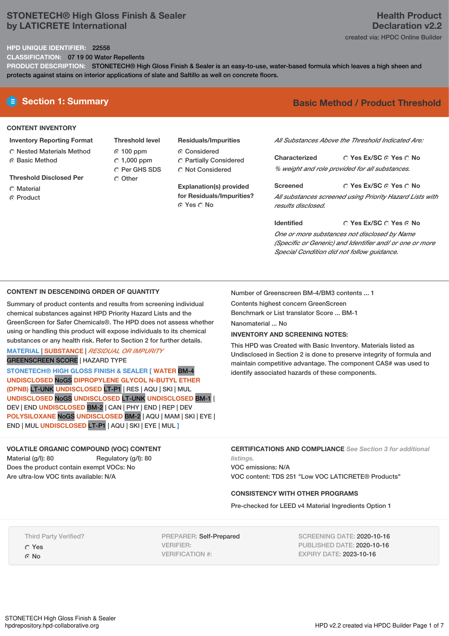## **STONETECH® High Gloss Finish & Sealer by LATICRETE International**

# **Health Product Declaration v2.2**

created via: HPDC Online Builder

#### **HPD UNIQUE IDENTIFIER:** 22558

**CLASSIFICATION:** 07 19 00 Water Repellents

**PRODUCT DESCRIPTION:** STONETECH® High Gloss Finish & Sealer is an easy-to-use, water-based formula which leaves a high sheen and protects against stains on interior applications of slate and Saltillo as well on concrete floors.

#### **CONTENT INVENTORY**

- **Inventory Reporting Format** Nested Materials Method
- **G** Basic Method
- **Threshold Disclosed Per**
- C Material
- **C** Product
- **Threshold level** 100 ppm  $C$  1,000 ppm C Per GHS SDS O Other
- **Residuals/Impurities** Considered Partially Considered C Not Considered

**Explanation(s) provided for Residuals/Impurities?** © Yes ∩ No

# **E** Section 1: Summary **Basic** Method / Product Threshold

*All Substances Above the Threshold Indicated Are:*

**Yes Ex/SC Yes No Characterized** *% weight and role provided for all substances.*

**Yes Ex/SC Yes No Screened** *All substances screened using Priority Hazard Lists with results disclosed.*

**Yes Ex/SC Yes No Identified** *One or more substances not disclosed by Name (Specific or Generic) and Identifier and/ or one or more Special Condition did not follow guidance.*

## **CONTENT IN DESCENDING ORDER OF QUANTITY**

Summary of product contents and results from screening individual chemical substances against HPD Priority Hazard Lists and the GreenScreen for Safer Chemicals®. The HPD does not assess whether using or handling this product will expose individuals to its chemical substances or any health risk. Refer to Section 2 for further details.

#### **MATERIAL** | **SUBSTANCE** | *RESIDUAL OR IMPURITY* GREENSCREEN SCORE | HAZARD TYPE

**STONETECH® HIGH GLOSS FINISH & SEALER [ WATER** BM-4 **UNDISCLOSED** NoGS **DIPROPYLENE GLYCOL N-BUTYL ETHER (DPNB)** LT-UNK **UNDISCLOSED** LT-P1 | RES | AQU | SKI | MUL **UNDISCLOSED** NoGS **UNDISCLOSED** LT-UNK **UNDISCLOSED** BM-1 | DEV | END **UNDISCLOSED** BM-2 | CAN | PHY | END | REP | DEV **POLYSILOXANE** NoGS **UNDISCLOSED** BM-2 | AQU | MAM | SKI | EYE | END | MUL **UNDISCLOSED** LT-P1 | AQU | SKI | EYE | MUL **]**

**VOLATILE ORGANIC COMPOUND (VOC) CONTENT** Material (g/l): 80 Regulatory (g/l): 80 Does the product contain exempt VOCs: No

**CERTIFICATIONS AND COMPLIANCE** *See Section 3 for additional listings.*

This HPD was Created with Basic Inventory. Materials listed as Undisclosed in Section 2 is done to preserve integrity of formula and maintain competitive advantage. The component CAS# was used to

VOC emissions: N/A VOC content: TDS 251 "Low VOC LATICRETE® Products"

### **CONSISTENCY WITH OTHER PROGRAMS**

Number of Greenscreen BM-4/BM3 contents ... 1

identify associated hazards of these components.

Contents highest concern GreenScreen Benchmark or List translator Score ... BM-1

**INVENTORY AND SCREENING NOTES:**

Nanomaterial ... No

Pre-checked for LEED v4 Material Ingredients Option 1

Third Party Verified? Yes

Are ultra-low VOC tints available: N/A

G No

PREPARER: Self-Prepared VERIFIER: VERIFICATION #:

SCREENING DATE: 2020-10-16 PUBLISHED DATE: 2020-10-16 EXPIRY DATE: 2023-10-16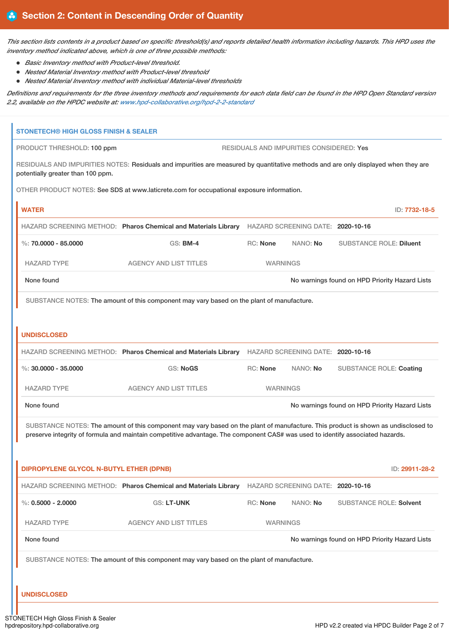This section lists contents in a product based on specific threshold(s) and reports detailed health information including hazards. This HPD uses the *inventory method indicated above, which is one of three possible methods:*

- *Basic Inventory method with Product-level threshold.*
- *Nested Material Inventory method with Product-level threshold*
- *Nested Material Inventory method with individual Material-level thresholds*

Definitions and requirements for the three inventory methods and requirements for each data field can be found in the HPD Open Standard version *2.2, available on the HPDC website at: [www.hpd-collaborative.org/hpd-2-2-standard](https://www.hpd-collaborative.org/hpd-2-2-standard)*

| <b>STONETECH® HIGH GLOSS FINISH &amp; SEALER</b> |                                                                                                                                                                                                                                                                    |                 |                                          |                                                |
|--------------------------------------------------|--------------------------------------------------------------------------------------------------------------------------------------------------------------------------------------------------------------------------------------------------------------------|-----------------|------------------------------------------|------------------------------------------------|
| PRODUCT THRESHOLD: 100 ppm                       |                                                                                                                                                                                                                                                                    |                 | RESIDUALS AND IMPURITIES CONSIDERED: Yes |                                                |
| potentially greater than 100 ppm.                | RESIDUALS AND IMPURITIES NOTES: Residuals and impurities are measured by quantitative methods and are only displayed when they are                                                                                                                                 |                 |                                          |                                                |
|                                                  | OTHER PRODUCT NOTES: See SDS at www.laticrete.com for occupational exposure information.                                                                                                                                                                           |                 |                                          |                                                |
| <b>WATER</b>                                     |                                                                                                                                                                                                                                                                    |                 |                                          | ID: 7732-18-5                                  |
|                                                  | HAZARD SCREENING METHOD: Pharos Chemical and Materials Library HAZARD SCREENING DATE: 2020-10-16                                                                                                                                                                   |                 |                                          |                                                |
| %: $70,0000 - 85,0000$                           | <b>GS: BM-4</b>                                                                                                                                                                                                                                                    | RC: None        | NANO: No                                 | <b>SUBSTANCE ROLE: Diluent</b>                 |
| <b>HAZARD TYPE</b>                               | <b>AGENCY AND LIST TITLES</b>                                                                                                                                                                                                                                      | <b>WARNINGS</b> |                                          |                                                |
| None found                                       |                                                                                                                                                                                                                                                                    |                 |                                          | No warnings found on HPD Priority Hazard Lists |
|                                                  | SUBSTANCE NOTES: The amount of this component may vary based on the plant of manufacture.                                                                                                                                                                          |                 |                                          |                                                |
|                                                  |                                                                                                                                                                                                                                                                    |                 |                                          |                                                |
| <b>UNDISCLOSED</b>                               |                                                                                                                                                                                                                                                                    |                 |                                          |                                                |
|                                                  | HAZARD SCREENING METHOD: Pharos Chemical and Materials Library                                                                                                                                                                                                     |                 | HAZARD SCREENING DATE: 2020-10-16        |                                                |
| %: $30.0000 - 35.0000$                           | <b>GS: NoGS</b>                                                                                                                                                                                                                                                    | RC: None        | NANO: No                                 | <b>SUBSTANCE ROLE: Coating</b>                 |
| <b>HAZARD TYPE</b>                               | <b>AGENCY AND LIST TITLES</b>                                                                                                                                                                                                                                      | <b>WARNINGS</b> |                                          |                                                |
| None found                                       |                                                                                                                                                                                                                                                                    |                 |                                          | No warnings found on HPD Priority Hazard Lists |
|                                                  | SUBSTANCE NOTES: The amount of this component may vary based on the plant of manufacture. This product is shown as undisclosed to<br>preserve integrity of formula and maintain competitive advantage. The component CAS# was used to identify associated hazards. |                 |                                          |                                                |
| DIPROPYLENE GLYCOL N-BUTYL ETHER (DPNB)          |                                                                                                                                                                                                                                                                    |                 |                                          | ID: 29911-28-2                                 |
|                                                  | HAZARD SCREENING METHOD: Pharos Chemical and Materials Library HAZARD SCREENING DATE: 2020-10-16                                                                                                                                                                   |                 |                                          |                                                |
| %: $0.5000 - 2.0000$                             | GS: LT-UNK                                                                                                                                                                                                                                                         | RC: None        | NANO: No                                 | <b>SUBSTANCE ROLE: Solvent</b>                 |
| <b>HAZARD TYPE</b>                               | <b>AGENCY AND LIST TITLES</b>                                                                                                                                                                                                                                      | <b>WARNINGS</b> |                                          |                                                |
| None found                                       |                                                                                                                                                                                                                                                                    |                 |                                          | No warnings found on HPD Priority Hazard Lists |
|                                                  | SUBSTANCE NOTES: The amount of this component may vary based on the plant of manufacture.                                                                                                                                                                          |                 |                                          |                                                |
|                                                  |                                                                                                                                                                                                                                                                    |                 |                                          |                                                |
| <b>UNDISCLOSED</b>                               |                                                                                                                                                                                                                                                                    |                 |                                          |                                                |

hpdrepository.hpd-collaborative.org https://www.facebook.com/index.com/index.com/index.com/index.com/index.com/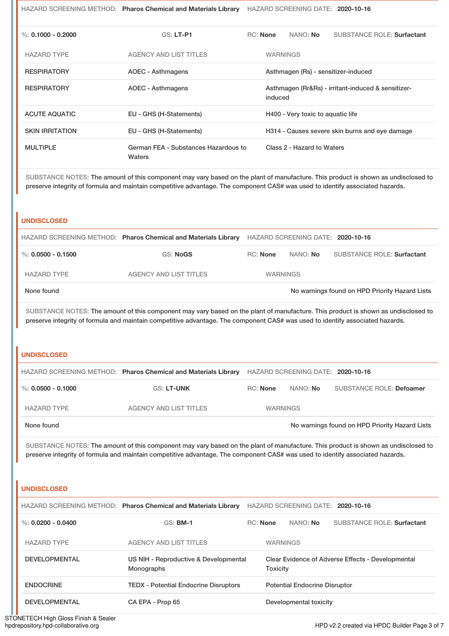| %: 0.1000 - 0.2000     | <b>GS: LT-P1</b>                               | NANO: No<br><b>SUBSTANCE ROLE: Surfactant</b><br>RC: None     |
|------------------------|------------------------------------------------|---------------------------------------------------------------|
| <b>HAZARD TYPE</b>     | <b>AGENCY AND LIST TITLES</b>                  | <b>WARNINGS</b>                                               |
| <b>RESPIRATORY</b>     | AOEC - Asthmagens                              | Asthmagen (Rs) - sensitizer-induced                           |
| <b>RESPIRATORY</b>     | <b>AOEC - Asthmagens</b>                       | Asthmagen (Rr&Rs) - irritant-induced & sensitizer-<br>induced |
| <b>ACUTE AQUATIC</b>   | EU - GHS (H-Statements)                        | H400 - Very toxic to aquatic life                             |
| <b>SKIN IRRITATION</b> | EU - GHS (H-Statements)                        | H314 - Causes severe skin burns and eye damage                |
| <b>MULTIPLE</b>        | German FEA - Substances Hazardous to<br>Waters | Class 2 - Hazard to Waters                                    |

HAZARD SCREENING METHOD: **Pharos Chemical and Materials Library** HAZARD SCREENING DATE: **2020-10-16**

SUBSTANCE NOTES: The amount of this component may vary based on the plant of manufacture. This product is shown as undisclosed to preserve integrity of formula and maintain competitive advantage. The component CAS# was used to identify associated hazards.

#### **UNDISCLOSED**

|                    | HAZARD SCREENING METHOD: Pharos Chemical and Materials Library |                 | HAZARD SCREENING DATE: 2020-10-16 |                                                |
|--------------------|----------------------------------------------------------------|-----------------|-----------------------------------|------------------------------------------------|
| %: 0.0500 - 0.1500 | GS: NoGS                                                       | RC: None        | NANO: No                          | <b>SUBSTANCE ROLE: Surfactant</b>              |
| <b>HAZARD TYPE</b> | AGENCY AND LIST TITLES                                         | <b>WARNINGS</b> |                                   |                                                |
| None found         |                                                                |                 |                                   | No warnings found on HPD Priority Hazard Lists |

SUBSTANCE NOTES: The amount of this component may vary based on the plant of manufacture. This product is shown as undisclosed to preserve integrity of formula and maintain competitive advantage. The component CAS# was used to identify associated hazards.

#### **UNDISCLOSED**

|                    | HAZARD SCREENING METHOD: Pharos Chemical and Materials Library |                 | HAZARD SCREENING DATE: 2020-10-16 |                                                |
|--------------------|----------------------------------------------------------------|-----------------|-----------------------------------|------------------------------------------------|
| %: 0.0500 - 0.1000 | <b>GS: LT-UNK</b>                                              | RC: None        | NANO: No                          | <b>SUBSTANCE ROLE: Defoamer</b>                |
| <b>HAZARD TYPE</b> | <b>AGENCY AND LIST TITLES</b>                                  | <b>WARNINGS</b> |                                   |                                                |
| None found         |                                                                |                 |                                   | No warnings found on HPD Priority Hazard Lists |

SUBSTANCE NOTES: The amount of this component may vary based on the plant of manufacture. This product is shown as undisclosed to preserve integrity of formula and maintain competitive advantage. The component CAS# was used to identify associated hazards.

#### **UNDISCLOSED**

|                        | HAZARD SCREENING METHOD: Pharos Chemical and Materials Library |                                      |                                                                      |                        | HAZARD SCREENING DATE: 2020-10-16 |
|------------------------|----------------------------------------------------------------|--------------------------------------|----------------------------------------------------------------------|------------------------|-----------------------------------|
| $\%$ : 0.0200 - 0.0400 | $GS:$ BM-1                                                     | RC: None                             |                                                                      | NANO: <b>No</b>        | <b>SUBSTANCE ROLE: Surfactant</b> |
| <b>HAZARD TYPE</b>     | <b>AGENCY AND LIST TITLES</b>                                  |                                      | <b>WARNINGS</b>                                                      |                        |                                   |
| <b>DEVELOPMENTAL</b>   | US NIH - Reproductive & Developmental<br><b>Monographs</b>     |                                      | Clear Evidence of Adverse Effects - Developmental<br><b>Toxicity</b> |                        |                                   |
| <b>ENDOCRINE</b>       | <b>TEDX</b> - Potential Endocrine Disruptors                   | <b>Potential Endocrine Disruptor</b> |                                                                      |                        |                                   |
| <b>DEVELOPMENTAL</b>   | CA EPA - Prop 65                                               |                                      |                                                                      | Developmental toxicity |                                   |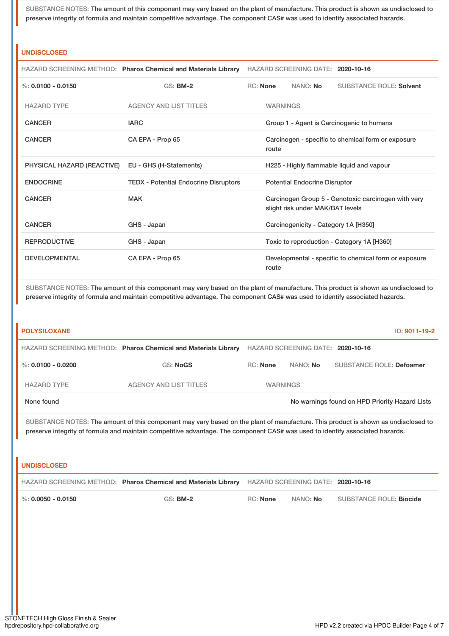SUBSTANCE NOTES: The amount of this component may vary based on the plant of manufacture. This product is shown as undisclosed to preserve integrity of formula and maintain competitive advantage. The component CAS# was used to identify associated hazards.

#### **UNDISCLOSED**

|                            | HAZARD SCREENING METHOD: Pharos Chemical and Materials Library |                 | HAZARD SCREENING DATE: 2020-10-16    |                                                       |
|----------------------------|----------------------------------------------------------------|-----------------|--------------------------------------|-------------------------------------------------------|
| %: $0.0100 - 0.0150$       | $GS:$ BM-2                                                     | RC: None        | NANO: <b>No</b>                      | <b>SUBSTANCE ROLE: Solvent</b>                        |
| <b>HAZARD TYPE</b>         | <b>AGENCY AND LIST TITLES</b>                                  | <b>WARNINGS</b> |                                      |                                                       |
| CANCER                     | <b>IARC</b>                                                    |                 |                                      | Group 1 - Agent is Carcinogenic to humans             |
| <b>CANCER</b>              | CA EPA - Prop 65                                               | route           |                                      | Carcinogen - specific to chemical form or exposure    |
| PHYSICAL HAZARD (REACTIVE) | EU - GHS (H-Statements)                                        |                 |                                      | H225 - Highly flammable liquid and vapour             |
| <b>ENDOCRINE</b>           | <b>TEDX</b> - Potential Endocrine Disruptors                   |                 | <b>Potential Endocrine Disruptor</b> |                                                       |
| <b>CANCER</b>              | <b>MAK</b>                                                     |                 | slight risk under MAK/BAT levels     | Carcinogen Group 5 - Genotoxic carcinogen with very   |
| <b>CANCER</b>              | GHS - Japan                                                    |                 | Carcinogenicity - Category 1A [H350] |                                                       |
| <b>REPRODUCTIVE</b>        | GHS - Japan                                                    |                 |                                      | Toxic to reproduction - Category 1A [H360]            |
| <b>DEVELOPMENTAL</b>       | CA EPA - Prop 65                                               | route           |                                      | Developmental - specific to chemical form or exposure |

SUBSTANCE NOTES: The amount of this component may vary based on the plant of manufacture. This product is shown as undisclosed to preserve integrity of formula and maintain competitive advantage. The component CAS# was used to identify associated hazards.

| <b>POLYSILOXANE</b> |                                                                |                 |                                   | ID: 9011-19-2                                  |
|---------------------|----------------------------------------------------------------|-----------------|-----------------------------------|------------------------------------------------|
|                     | HAZARD SCREENING METHOD: Pharos Chemical and Materials Library |                 | HAZARD SCREENING DATE: 2020-10-16 |                                                |
| %: 0.0100 - 0.0200  | <b>GS: NoGS</b>                                                | RC: None        | NANO: No                          | <b>SUBSTANCE ROLE: Defoamer</b>                |
| <b>HAZARD TYPE</b>  | AGENCY AND LIST TITLES                                         | <b>WARNINGS</b> |                                   |                                                |
| None found          |                                                                |                 |                                   | No warnings found on HPD Priority Hazard Lists |

SUBSTANCE NOTES: The amount of this component may vary based on the plant of manufacture. This product is shown as undisclosed to preserve integrity of formula and maintain competitive advantage. The component CAS# was used to identify associated hazards.

| I UNDISCLOSED                                                                                    |            |                 |                 |                         |
|--------------------------------------------------------------------------------------------------|------------|-----------------|-----------------|-------------------------|
| HAZARD SCREENING METHOD: Pharos Chemical and Materials Library HAZARD SCREENING DATE: 2020-10-16 |            |                 |                 |                         |
| $\blacksquare$ %: 0.0050 - 0.0150                                                                | $GS:$ BM-2 | <b>RC:</b> None | NANO: <b>No</b> | SUBSTANCE ROLE: Biocide |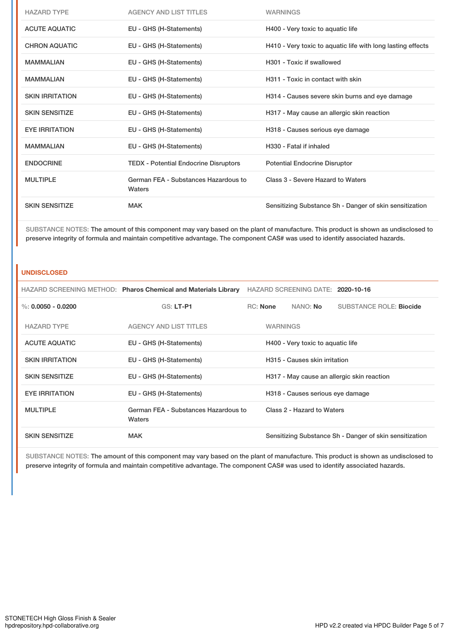| <b>HAZARD TYPE</b>     | <b>AGENCY AND LIST TITLES</b>                  | <b>WARNINGS</b>                                             |
|------------------------|------------------------------------------------|-------------------------------------------------------------|
| <b>ACUTE AQUATIC</b>   | EU - GHS (H-Statements)                        | H400 - Very toxic to aquatic life                           |
| <b>CHRON AQUATIC</b>   | EU - GHS (H-Statements)                        | H410 - Very toxic to aquatic life with long lasting effects |
| <b>MAMMALIAN</b>       | EU - GHS (H-Statements)                        | H301 - Toxic if swallowed                                   |
| <b>MAMMALIAN</b>       | EU - GHS (H-Statements)                        | H311 - Toxic in contact with skin                           |
| <b>SKIN IRRITATION</b> | EU - GHS (H-Statements)                        | H314 - Causes severe skin burns and eye damage              |
| <b>SKIN SENSITIZE</b>  | EU - GHS (H-Statements)                        | H317 - May cause an allergic skin reaction                  |
| <b>EYE IRRITATION</b>  | EU - GHS (H-Statements)                        | H318 - Causes serious eye damage                            |
| <b>MAMMALIAN</b>       | EU - GHS (H-Statements)                        | H330 - Fatal if inhaled                                     |
| <b>ENDOCRINE</b>       | <b>TEDX</b> - Potential Endocrine Disruptors   | <b>Potential Endocrine Disruptor</b>                        |
| <b>MULTIPLE</b>        | German FEA - Substances Hazardous to<br>Waters | Class 3 - Severe Hazard to Waters                           |
| <b>SKIN SENSITIZE</b>  | <b>MAK</b>                                     | Sensitizing Substance Sh - Danger of skin sensitization     |

SUBSTANCE NOTES: The amount of this component may vary based on the plant of manufacture. This product is shown as undisclosed to preserve integrity of formula and maintain competitive advantage. The component CAS# was used to identify associated hazards.

#### **UNDISCLOSED**

|                        | HAZARD SCREENING METHOD: Pharos Chemical and Materials Library | HAZARD SCREENING DATE: 2020-10-16 |                 |                                   |                                                         |
|------------------------|----------------------------------------------------------------|-----------------------------------|-----------------|-----------------------------------|---------------------------------------------------------|
| %: $0.0050 - 0.0200$   | <b>GS: LT-P1</b>                                               | <b>RC:</b> None                   |                 | NANO: <b>No</b>                   | <b>SUBSTANCE ROLE: Biocide</b>                          |
| <b>HAZARD TYPE</b>     | <b>AGENCY AND LIST TITLES</b>                                  |                                   | <b>WARNINGS</b> |                                   |                                                         |
| <b>ACUTE AQUATIC</b>   | EU - GHS (H-Statements)                                        |                                   |                 | H400 - Very toxic to aquatic life |                                                         |
| <b>SKIN IRRITATION</b> | EU - GHS (H-Statements)                                        |                                   |                 | H315 - Causes skin irritation     |                                                         |
| <b>SKIN SENSITIZE</b>  | EU - GHS (H-Statements)                                        |                                   |                 |                                   | H317 - May cause an allergic skin reaction              |
| <b>EYE IRRITATION</b>  | EU - GHS (H-Statements)                                        |                                   |                 | H318 - Causes serious eye damage  |                                                         |
| <b>MULTIPLE</b>        | German FEA - Substances Hazardous to<br>Waters                 |                                   |                 | Class 2 - Hazard to Waters        |                                                         |
| <b>SKIN SENSITIZE</b>  | <b>MAK</b>                                                     |                                   |                 |                                   | Sensitizing Substance Sh - Danger of skin sensitization |

SUBSTANCE NOTES: The amount of this component may vary based on the plant of manufacture. This product is shown as undisclosed to preserve integrity of formula and maintain competitive advantage. The component CAS# was used to identify associated hazards.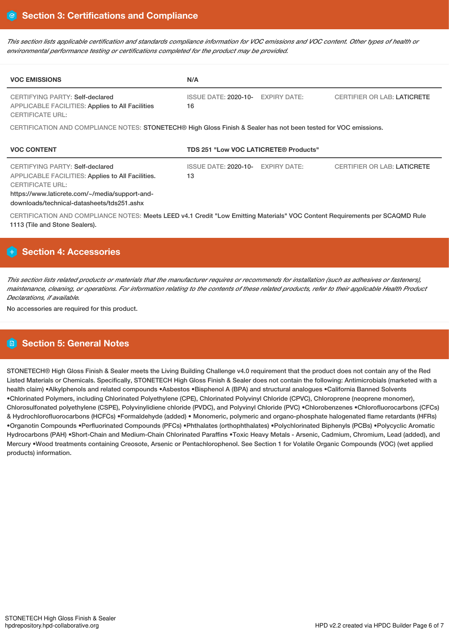This section lists applicable certification and standards compliance information for VOC emissions and VOC content. Other types of health or *environmental performance testing or certifications completed for the product may be provided.*

| <b>VOC EMISSIONS</b>                                                                                                                                                                                                          | N/A                                                      |                                    |  |  |  |
|-------------------------------------------------------------------------------------------------------------------------------------------------------------------------------------------------------------------------------|----------------------------------------------------------|------------------------------------|--|--|--|
| CERTIFYING PARTY: Self-declared<br><b>APPLICABLE FACILITIES: Applies to All Facilities</b><br><b>CERTIFICATE URL:</b>                                                                                                         | <b>ISSUE DATE: 2020-10-</b><br><b>EXPIRY DATE:</b><br>16 | <b>CERTIFIER OR LAB: LATICRETE</b> |  |  |  |
| CERTIFICATION AND COMPLIANCE NOTES: STONETECH® High Gloss Finish & Sealer has not been tested for VOC emissions.                                                                                                              |                                                          |                                    |  |  |  |
| <b>VOC CONTENT</b>                                                                                                                                                                                                            | TDS 251 "Low VOC LATICRETE® Products"                    |                                    |  |  |  |
| <b>CERTIFYING PARTY: Self-declared</b><br><b>APPLICABLE FACILITIES: Applies to All Facilities.</b><br><b>CERTIFICATE URL:</b><br>https://www.laticrete.com/~/media/support-and-<br>downloads/technical-datasheets/tds251.ashx | <b>EXPIRY DATE:</b><br><b>ISSUE DATE: 2020-10-</b><br>13 | <b>CERTIFIER OR LAB: LATICRETE</b> |  |  |  |
| CERTIFICATION AND COMPLIANCE NOTES: Meets LEED v4.1 Credit "Low Emitting Materials" VOC Content Requirements per SCAQMD Rule<br>1113 (Tile and Stone Sealers).                                                                |                                                          |                                    |  |  |  |

## **Section 4: Accessories**

This section lists related products or materials that the manufacturer requires or recommends for installation (such as adhesives or fasteners), maintenance, cleaning, or operations. For information relating to the contents of these related products, refer to their applicable Health Product *Declarations, if available.*

No accessories are required for this product.

# **Section 5: General Notes**

STONETECH® High Gloss Finish & Sealer meets the Living Building Challenge v4.0 requirement that the product does not contain any of the Red Listed Materials or Chemicals. Specifically, STONETECH High Gloss Finish & Sealer does not contain the following: Antimicrobials (marketed with a health claim) •Alkylphenols and related compounds •Asbestos •Bisphenol A (BPA) and structural analogues •California Banned Solvents •Chlorinated Polymers, including Chlorinated Polyethylene (CPE), Chlorinated Polyvinyl Chloride (CPVC), Chloroprene (neoprene monomer), Chlorosulfonated polyethylene (CSPE), Polyvinylidiene chloride (PVDC), and Polyvinyl Chloride (PVC) •Chlorobenzenes •Chlorofluorocarbons (CFCs) & Hydrochlorofluorocarbons (HCFCs) •Formaldehyde (added) • Monomeric, polymeric and organo-phosphate halogenated flame retardants (HFRs) •Organotin Compounds •Perfluorinated Compounds (PFCs) •Phthalates (orthophthalates) •Polychlorinated Biphenyls (PCBs) •Polycyclic Aromatic Hydrocarbons (PAH) •Short-Chain and Medium-Chain Chlorinated Paraffins •Toxic Heavy Metals - Arsenic, Cadmium, Chromium, Lead (added), and Mercury •Wood treatments containing Creosote, Arsenic or Pentachlorophenol. See Section 1 for Volatile Organic Compounds (VOC) (wet applied products) information.